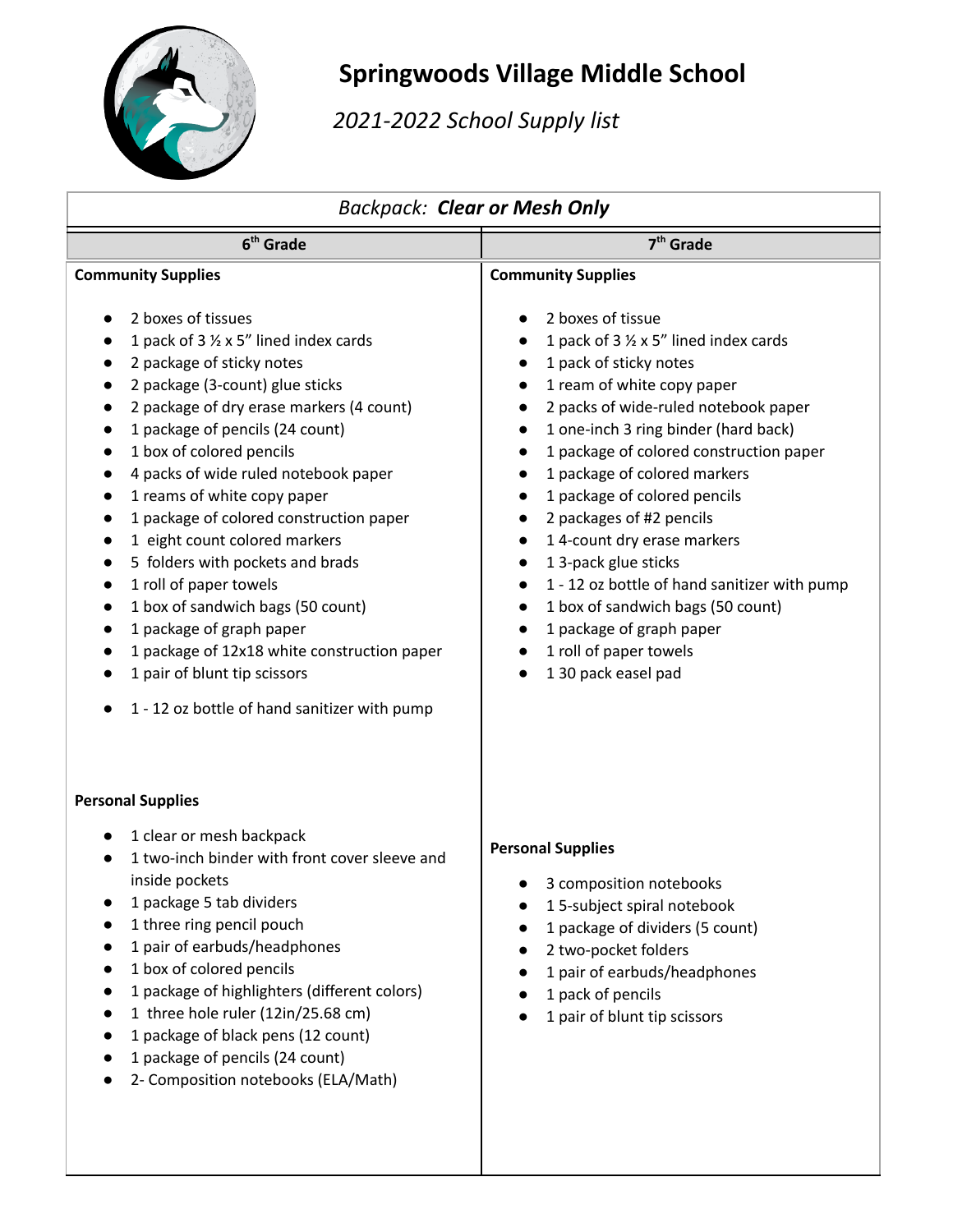

## **Springwoods Village Middle School**

*2021-2022 School Supply list*

| <b>Backpack: Clear or Mesh Only</b>                                                                                                                                                                                                                                                                                                                                                                                                                                                                                                                                                                                                                                                   |                                                                                                                                                                                                                                                                                                                                                                                                                                                                                                                                                                                                                           |
|---------------------------------------------------------------------------------------------------------------------------------------------------------------------------------------------------------------------------------------------------------------------------------------------------------------------------------------------------------------------------------------------------------------------------------------------------------------------------------------------------------------------------------------------------------------------------------------------------------------------------------------------------------------------------------------|---------------------------------------------------------------------------------------------------------------------------------------------------------------------------------------------------------------------------------------------------------------------------------------------------------------------------------------------------------------------------------------------------------------------------------------------------------------------------------------------------------------------------------------------------------------------------------------------------------------------------|
| 6 <sup>th</sup> Grade                                                                                                                                                                                                                                                                                                                                                                                                                                                                                                                                                                                                                                                                 | 7 <sup>th</sup> Grade                                                                                                                                                                                                                                                                                                                                                                                                                                                                                                                                                                                                     |
| <b>Community Supplies</b><br>2 boxes of tissues<br>1 pack of 3 1/2 x 5" lined index cards<br>2 package of sticky notes<br>2 package (3-count) glue sticks<br>2 package of dry erase markers (4 count)<br>1 package of pencils (24 count)<br>1 box of colored pencils<br>4 packs of wide ruled notebook paper<br>1 reams of white copy paper<br>1 package of colored construction paper<br>1 eight count colored markers<br>5 folders with pockets and brads<br>1 roll of paper towels<br>1 box of sandwich bags (50 count)<br>1 package of graph paper<br>1 package of 12x18 white construction paper<br>1 pair of blunt tip scissors<br>1 - 12 oz bottle of hand sanitizer with pump | <b>Community Supplies</b><br>2 boxes of tissue<br>1 pack of 3 1/2 x 5" lined index cards<br>1 pack of sticky notes<br>1 ream of white copy paper<br>2 packs of wide-ruled notebook paper<br>1 one-inch 3 ring binder (hard back)<br>$\bullet$<br>1 package of colored construction paper<br>1 package of colored markers<br>1 package of colored pencils<br>2 packages of #2 pencils<br>14-count dry erase markers<br>1 3-pack glue sticks<br>1 - 12 oz bottle of hand sanitizer with pump<br>1 box of sandwich bags (50 count)<br>$\bullet$<br>1 package of graph paper<br>1 roll of paper towels<br>1 30 pack easel pad |
| <b>Personal Supplies</b><br>1 clear or mesh backpack<br>1 two-inch binder with front cover sleeve and<br>inside pockets<br>1 package 5 tab dividers<br>1 three ring pencil pouch<br>1 pair of earbuds/headphones<br>1 box of colored pencils<br>1 package of highlighters (different colors)<br>1 three hole ruler (12in/25.68 cm)<br>1 package of black pens (12 count)<br>1 package of pencils (24 count)<br>2- Composition notebooks (ELA/Math)                                                                                                                                                                                                                                    | <b>Personal Supplies</b><br>3 composition notebooks<br>15-subject spiral notebook<br>$\bullet$<br>1 package of dividers (5 count)<br>2 two-pocket folders<br>1 pair of earbuds/headphones<br>1 pack of pencils<br>1 pair of blunt tip scissors                                                                                                                                                                                                                                                                                                                                                                            |